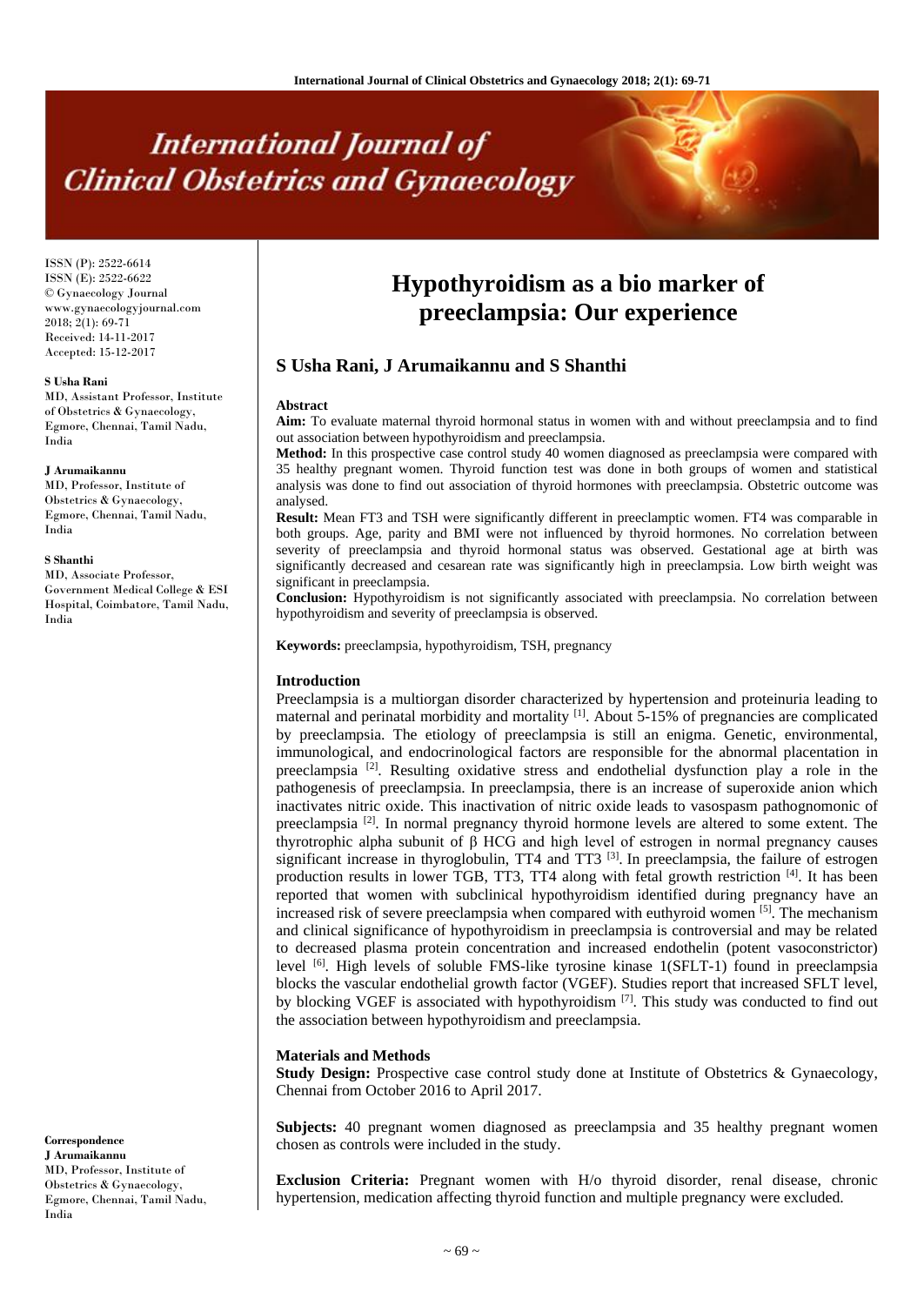# **International Journal of Clinical Obstetrics and Gynaecology**

ISSN (P): 2522-6614 ISSN (E): 2522-6622 © Gynaecology Journal www.gynaecologyjournal.com  $2018$ ;  $2(1)$ : 69-71 Received: 14-11-2017 Accepted: 15-12-2017

#### **S Usha Rani**

MD, Assistant Professor, Institute of Obstetrics & Gynaecology, Egmore, Chennai, Tamil Nadu, India

#### **J Arumaikannu**

MD, Professor, Institute of Obstetrics & Gynaecology, Egmore, Chennai, Tamil Nadu, India

#### **S Shanthi**

MD, Associate Professor, Government Medical College & ESI Hospital, Coimbatore, Tamil Nadu, India

**Correspondence J Arumaikannu** MD, Professor, Institute of

Obstetrics & Gynaecology, Egmore, Chennai, Tamil Nadu, India

# **Hypothyroidism as a bio marker of preeclampsia: Our experience**

# **S Usha Rani, J Arumaikannu and S Shanthi**

#### **Abstract**

**Aim:** To evaluate maternal thyroid hormonal status in women with and without preeclampsia and to find out association between hypothyroidism and preeclampsia.

**Method:** In this prospective case control study 40 women diagnosed as preeclampsia were compared with 35 healthy pregnant women. Thyroid function test was done in both groups of women and statistical analysis was done to find out association of thyroid hormones with preeclampsia. Obstetric outcome was analysed.

**Result:** Mean FT3 and TSH were significantly different in preeclamptic women. FT4 was comparable in both groups. Age, parity and BMI were not influenced by thyroid hormones. No correlation between severity of preeclampsia and thyroid hormonal status was observed. Gestational age at birth was significantly decreased and cesarean rate was significantly high in preeclampsia. Low birth weight was significant in preeclampsia.

**Conclusion:** Hypothyroidism is not significantly associated with preeclampsia. No correlation between hypothyroidism and severity of preeclampsia is observed.

**Keywords:** preeclampsia, hypothyroidism, TSH, pregnancy

#### **Introduction**

Preeclampsia is a multiorgan disorder characterized by hypertension and proteinuria leading to maternal and perinatal morbidity and mortality <sup>[1]</sup>. About 5-15% of pregnancies are complicated by preeclampsia. The etiology of preeclampsia is still an enigma. Genetic, environmental, immunological, and endocrinological factors are responsible for the abnormal placentation in preeclampsia<sup>[2]</sup>. Resulting oxidative stress and endothelial dysfunction play a role in the pathogenesis of preeclampsia. In preeclampsia, there is an increase of superoxide anion which inactivates nitric oxide. This inactivation of nitric oxide leads to vasospasm pathognomonic of preeclampsia<sup>[2]</sup>. In normal pregnancy thyroid hormone levels are altered to some extent. The thyrotrophic alpha subunit of β HCG and high level of estrogen in normal pregnancy causes significant increase in thyroglobulin,  $TT4$  and  $TT3$  [3]. In preeclampsia, the failure of estrogen production results in lower TGB, TT3, TT4 along with fetal growth restriction <sup>[4]</sup>. It has been reported that women with subclinical hypothyroidism identified during pregnancy have an increased risk of severe preeclampsia when compared with euthyroid women <sup>[5]</sup>. The mechanism and clinical significance of hypothyroidism in preeclampsia is controversial and may be related to decreased plasma protein concentration and increased endothelin (potent vasoconstrictor) level <sup>[6]</sup>. High levels of soluble FMS-like tyrosine kinase 1(SFLT-1) found in preeclampsia blocks the vascular endothelial growth factor (VGEF). Studies report that increased SFLT level, by blocking VGEF is associated with hypothyroidism  $[7]$ . This study was conducted to find out the association between hypothyroidism and preeclampsia.

#### **Materials and Methods**

**Study Design:** Prospective case control study done at Institute of Obstetrics & Gynaecology, Chennai from October 2016 to April 2017.

**Subjects:** 40 pregnant women diagnosed as preeclampsia and 35 healthy pregnant women chosen as controls were included in the study.

**Exclusion Criteria:** Pregnant women with H/o thyroid disorder, renal disease, chronic hypertension, medication affecting thyroid function and multiple pregnancy were excluded.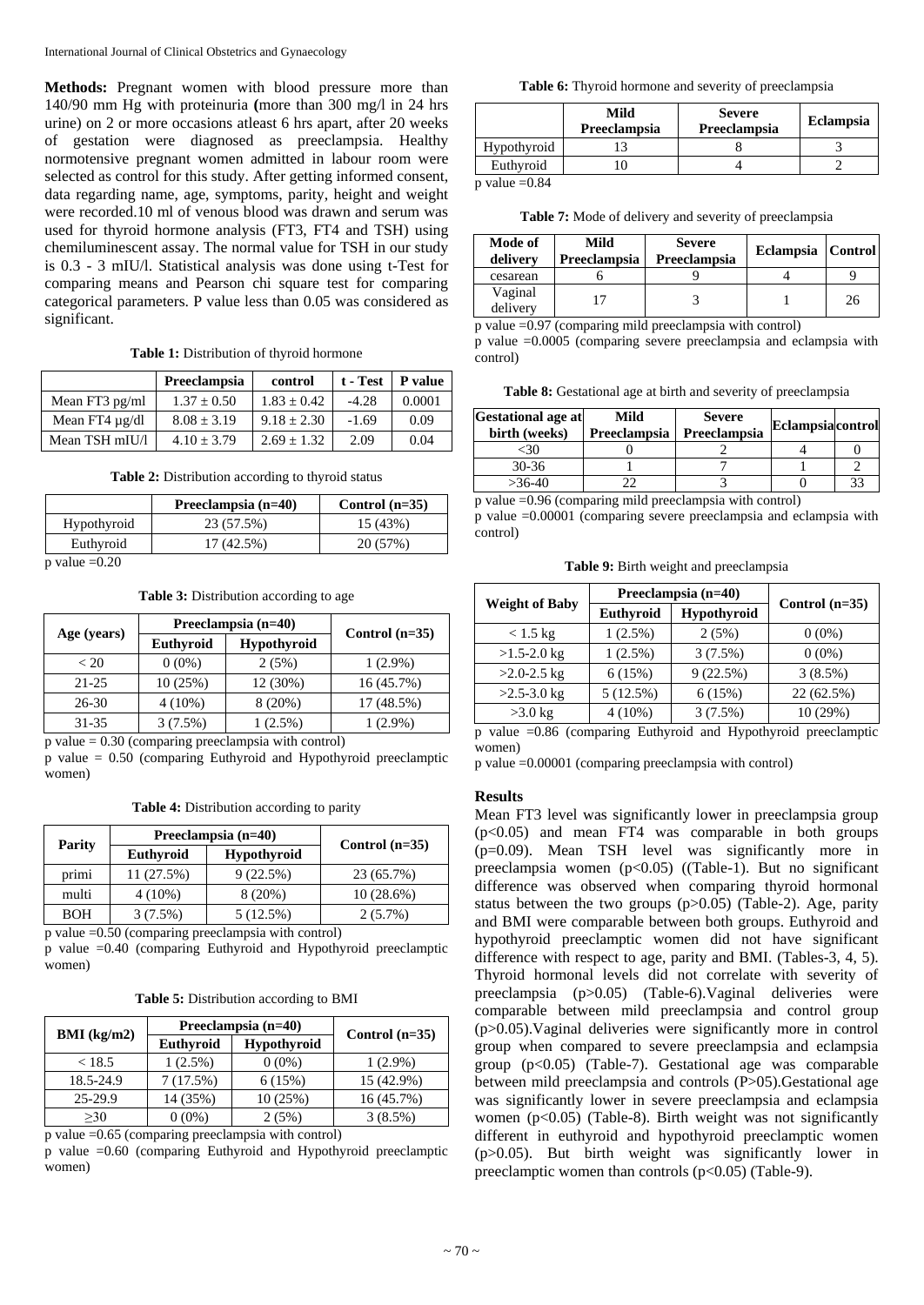**Methods:** Pregnant women with blood pressure more than 140/90 mm Hg with proteinuria **(**more than 300 mg/l in 24 hrs urine) on 2 or more occasions atleast 6 hrs apart, after 20 weeks of gestation were diagnosed as preeclampsia. Healthy normotensive pregnant women admitted in labour room were selected as control for this study. After getting informed consent, data regarding name, age, symptoms, parity, height and weight were recorded.10 ml of venous blood was drawn and serum was used for thyroid hormone analysis (FT3, FT4 and TSH) using chemiluminescent assay. The normal value for TSH in our study is 0.3 - 3 mIU/l. Statistical analysis was done using t-Test for comparing means and Pearson chi square test for comparing categorical parameters. P value less than 0.05 was considered as significant.

#### **Table 1:** Distribution of thyroid hormone

|                     | Preeclampsia  | control       | $t$ - Test $\perp$ | <b>P</b> value |
|---------------------|---------------|---------------|--------------------|----------------|
| Mean FT3 $pg/ml$    | $1.37 + 0.50$ | $1.83 + 0.42$ | $-4.28$            | 0.0001         |
| Mean FT4 $\mu$ g/dl | $8.08 + 3.19$ | $9.18 + 2.30$ | $-1.69$            | 0.09           |
| Mean TSH mIU/l      | $4.10 + 3.79$ | $2.69 + 1.32$ | 2.09               | 0.04           |

**Table 2:** Distribution according to thyroid status

|                      | Preeclampsia $(n=40)$ | Control $(n=35)$ |
|----------------------|-----------------------|------------------|
| Hypothyroid          | 23 (57.5%)            | 15(43%)          |
| Euthyroid            | 17 (42.5%)            | 20 (57%)         |
| $\sim$ 1 $\sim$ 0.00 |                       |                  |

 $p$  value  $=0.20$ 

**Table 3:** Distribution according to age

|             | Preeclampsia (n=40) |                    |                  |
|-------------|---------------------|--------------------|------------------|
| Age (years) | Euthyroid           | <b>Hypothyroid</b> | Control $(n=35)$ |
| ${}_{<}$ 20 | $0(0\%)$            | 2(5%)              | $1(2.9\%)$       |
| $21 - 25$   | 10(25%)             | $12(30\%)$         | 16 (45.7%)       |
| 26-30       | $4(10\%)$           | 8 (20%)            | 17 (48.5%)       |
| 31-35       | $3(7.5\%)$          | $1(2.5\%)$         | $1(2.9\%)$       |

 $\bar{p}$  value = 0.30 (comparing preeclampsia with control)

p value = 0.50 (comparing Euthyroid and Hypothyroid preeclamptic women)

**Table 4:** Distribution according to parity

|               | Preeclampsia (n=40) |                    |                  |  |
|---------------|---------------------|--------------------|------------------|--|
| <b>Parity</b> | <b>Euthyroid</b>    | <b>Hypothyroid</b> | Control $(n=35)$ |  |
| primi         | 11 (27.5%)          | 9(22.5%)           | 23 (65.7%)       |  |
| multi         | $4(10\%)$           | 8(20%)             | 10(28.6%)        |  |
| BOH           | 3(7.5%)             | 5(12.5%)           | $2(5.7\%)$       |  |

p value =0.50 (comparing preeclampsia with control)

p value =0.40 (comparing Euthyroid and Hypothyroid preeclamptic women)

**Table 5:** Distribution according to BMI

| BMI (kg/m2) | Preeclampsia (n=40) |                    | Control $(n=35)$ |  |
|-------------|---------------------|--------------------|------------------|--|
|             | Euthyroid           | <b>Hypothyroid</b> |                  |  |
| < 18.5      | $1(2.5\%)$          | $0(0\%)$           | $1(2.9\%)$       |  |
| 18.5-24.9   | 7(17.5%)            | 6(15%)             | 15 (42.9%)       |  |
| 25-29.9     | 14 (35%)            | 10(25%)            | 16(45.7%)        |  |
| >30         | $0(0\%)$            | 2(5%)              | 3(8.5%)          |  |

p value =0.65 (comparing preeclampsia with control)

p value =0.60 (comparing Euthyroid and Hypothyroid preeclamptic women)

**Table 6:** Thyroid hormone and severity of preeclampsia

|             | Mild<br>Preeclampsia | <b>Severe</b><br>Preeclampsia | <b>Eclampsia</b> |
|-------------|----------------------|-------------------------------|------------------|
| Hypothyroid |                      |                               |                  |
| Euthyroid   |                      |                               |                  |
| $     0.04$ |                      |                               |                  |

p value  $=0.84$ 

**Table 7:** Mode of delivery and severity of preeclampsia

| Mode of<br>delivery | Mild<br>Preeclampsia | <b>Severe</b><br>Preeclampsia | <b>Eclampsia</b> | Control |
|---------------------|----------------------|-------------------------------|------------------|---------|
| cesarean            |                      |                               |                  |         |
| Vaginal<br>delivery |                      |                               |                  | 26      |

p value =0.97 (comparing mild preeclampsia with control)

p value =0.0005 (comparing severe preeclampsia and eclampsia with control)

**Table 8:** Gestational age at birth and severity of preeclampsia

| <b>Gestational age at</b><br>birth (weeks) | Mild<br>Preeclampsia | <b>Severe</b><br>Preeclampsia | <b>Eclampsia</b> control |    |
|--------------------------------------------|----------------------|-------------------------------|--------------------------|----|
|                                            |                      |                               |                          |    |
| $30 - 36$                                  |                      |                               |                          |    |
| $>36-40$                                   |                      |                               |                          | 33 |

p value =0.96 (comparing mild preeclampsia with control) p value =0.00001 (comparing severe preeclampsia and eclampsia with control)

**Table 9:** Birth weight and preeclampsia

|                       | Preeclampsia (n=40) |             |                  |  |
|-----------------------|---------------------|-------------|------------------|--|
| <b>Weight of Baby</b> | Euthyroid           | Hypothyroid | Control $(n=35)$ |  |
| $< 1.5 \text{ kg}$    | $1(2.5\%)$          | 2(5%)       | $0(0\%)$         |  |
| $>1.5-2.0$ kg         | $1(2.5\%)$          | $3(7.5\%)$  | $0(0\%)$         |  |
| $>2.0 - 2.5$ kg       | 6(15%)              | 9(22.5%)    | 3(8.5%)          |  |
| $>2.5-3.0$ kg         | 5(12.5%)            | 6(15%)      | 22 (62.5%)       |  |
| $>3.0$ kg             | $4(10\%)$           | $3(7.5\%)$  | 10 (29%)         |  |

p value =0.86 (comparing Euthyroid and Hypothyroid preeclamptic women)

p value =0.00001 (comparing preeclampsia with control)

# **Results**

Mean FT3 level was significantly lower in preeclampsia group (p<0.05) and mean FT4 was comparable in both groups (p=0.09). Mean TSH level was significantly more in preeclampsia women (p<0.05) ((Table-1). But no significant difference was observed when comparing thyroid hormonal status between the two groups (p>0.05) (Table-2). Age, parity and BMI were comparable between both groups. Euthyroid and hypothyroid preeclamptic women did not have significant difference with respect to age, parity and BMI. (Tables-3, 4, 5). Thyroid hormonal levels did not correlate with severity of preeclampsia (p>0.05) (Table-6).Vaginal deliveries were comparable between mild preeclampsia and control group (p>0.05).Vaginal deliveries were significantly more in control group when compared to severe preeclampsia and eclampsia group  $(p<0.05)$  (Table-7). Gestational age was comparable between mild preeclampsia and controls (P>05).Gestational age was significantly lower in severe preeclampsia and eclampsia women  $(p<0.05)$  (Table-8). Birth weight was not significantly different in euthyroid and hypothyroid preeclamptic women (p>0.05). But birth weight was significantly lower in preeclamptic women than controls  $(p<0.05)$  (Table-9).